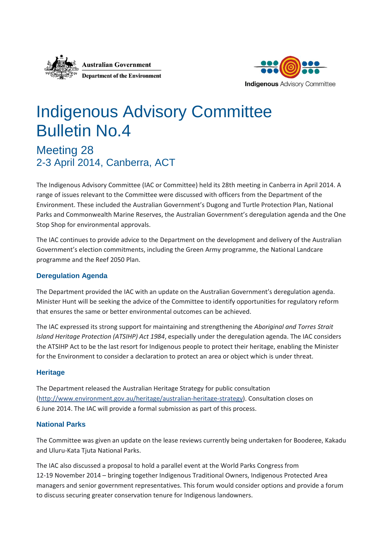



# Indigenous Advisory Committee Bulletin No.4

Meeting 28 2-3 April 2014, Canberra, ACT

The Indigenous Advisory Committee (IAC or Committee) held its 28th meeting in Canberra in April 2014. A range of issues relevant to the Committee were discussed with officers from the Department of the Environment. These included the Australian Government's Dugong and Turtle Protection Plan, National Parks and Commonwealth Marine Reserves, the Australian Government's deregulation agenda and the One Stop Shop for environmental approvals.

The IAC continues to provide advice to the Department on the development and delivery of the Australian Government's election commitments, including the Green Army programme, the National Landcare programme and the Reef 2050 Plan.

# **Deregulation Agenda**

The Department provided the IAC with an update on the Australian Government's deregulation agenda. Minister Hunt will be seeking the advice of the Committee to identify opportunities for regulatory reform that ensures the same or better environmental outcomes can be achieved.

The IAC expressed its strong support for maintaining and strengthening the *Aboriginal and Torres Strait Island Heritage Protection (ATSIHP) Act 1984*, especially under the deregulation agenda. The IAC considers the ATSIHP Act to be the last resort for Indigenous people to protect their heritage, enabling the Minister for the Environment to consider a declaration to protect an area or object which is under threat.

# **Heritage**

The Department released the Australian Heritage Strategy for public consultation [\(http://www.environment.gov.au/heritage/australian-heritage-strategy\)](http://www.environment.gov.au/heritage/australian-heritage-strategy). Consultation closes on 6 June 2014. The IAC will provide a formal submission as part of this process.

# **National Parks**

The Committee was given an update on the lease reviews currently being undertaken for Booderee, Kakadu and Uluru-Kata Tjuta National Parks.

The IAC also discussed a proposal to hold a parallel event at the World Parks Congress from 12-19 November 2014 – bringing together Indigenous Traditional Owners, Indigenous Protected Area managers and senior government representatives. This forum would consider options and provide a forum to discuss securing greater conservation tenure for Indigenous landowners.